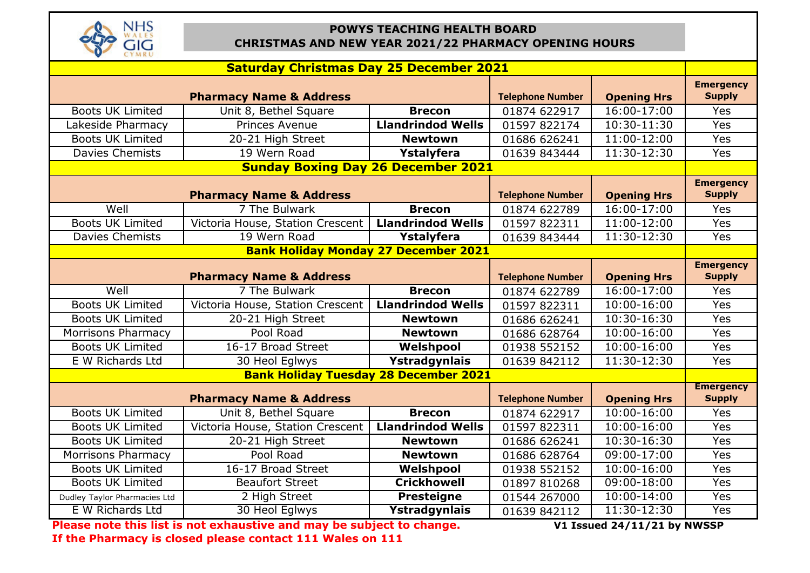

## **POWYS TEACHING HEALTH BOARD CHRISTMAS AND NEW YEAR 2021/22 PHARMACY OPENING HOURS**

| <b>Saturday Christmas Day 25 December 2021</b> |                                    |                          |                                   |                    |                                   |  |  |
|------------------------------------------------|------------------------------------|--------------------------|-----------------------------------|--------------------|-----------------------------------|--|--|
|                                                | <b>Pharmacy Name &amp; Address</b> |                          | <b>Telephone Number</b>           | <b>Opening Hrs</b> | <b>Emergency</b><br><b>Supply</b> |  |  |
| <b>Boots UK Limited</b>                        | Unit 8, Bethel Square              | <b>Brecon</b>            | 01874 622917                      | $16:00-17:00$      | Yes                               |  |  |
| Lakeside Pharmacy                              | Princes Avenue                     | <b>Llandrindod Wells</b> | 01597 822174                      | 10:30-11:30        | Yes                               |  |  |
| <b>Boots UK Limited</b>                        | 20-21 High Street                  | <b>Newtown</b>           | 01686 626241                      | 11:00-12:00        | Yes                               |  |  |
| <b>Davies Chemists</b>                         | 19 Wern Road                       | Ystalyfera               | 01639 843444                      | $11:30-12:30$      | Yes                               |  |  |
| <b>Sunday Boxing Day 26 December 2021</b>      |                                    |                          |                                   |                    |                                   |  |  |
|                                                | <b>Telephone Number</b>            | <b>Opening Hrs</b>       | <b>Emergency</b><br><b>Supply</b> |                    |                                   |  |  |
| Well                                           | 7 The Bulwark                      | <b>Brecon</b>            | 01874 622789                      | $16:00-17:00$      | Yes                               |  |  |
| <b>Boots UK Limited</b>                        | Victoria House, Station Crescent   | <b>Llandrindod Wells</b> | 01597 822311                      | 11:00-12:00        | Yes                               |  |  |
| <b>Davies Chemists</b>                         | 19 Wern Road                       | Ystalyfera               | 01639 843444                      | 11:30-12:30        | Yes                               |  |  |
| <b>Bank Holiday Monday 27 December 2021</b>    |                                    |                          |                                   |                    |                                   |  |  |
| <b>Pharmacy Name &amp; Address</b>             |                                    |                          | <b>Telephone Number</b>           | <b>Opening Hrs</b> | <b>Emergency</b><br><b>Supply</b> |  |  |
| Well                                           | 7 The Bulwark                      | <b>Brecon</b>            | 01874 622789                      | $16:00 - 17:00$    | Yes                               |  |  |
| <b>Boots UK Limited</b>                        | Victoria House, Station Crescent   | <b>Llandrindod Wells</b> | 01597 822311                      | 10:00-16:00        | Yes                               |  |  |
| <b>Boots UK Limited</b>                        | 20-21 High Street                  | <b>Newtown</b>           | 01686 626241                      | 10:30-16:30        | Yes                               |  |  |
| Morrisons Pharmacy                             | Pool Road                          | <b>Newtown</b>           | 01686 628764                      | $10:00 - 16:00$    | Yes                               |  |  |
| <b>Boots UK Limited</b>                        | 16-17 Broad Street                 | Welshpool                | 01938 552152                      | 10:00-16:00        | Yes                               |  |  |
| E W Richards Ltd                               | 30 Heol Eglwys                     | Ystradgynlais            | 01639 842112                      | $11:30-12:30$      | Yes                               |  |  |
| <b>Bank Holiday Tuesday 28 December 2021</b>   |                                    |                          |                                   |                    |                                   |  |  |
|                                                | <b>Pharmacy Name &amp; Address</b> |                          | <b>Telephone Number</b>           | <b>Opening Hrs</b> | <b>Emergency</b><br><b>Supply</b> |  |  |
| <b>Boots UK Limited</b>                        | Unit 8, Bethel Square              | <b>Brecon</b>            | 01874 622917                      | $10:00 - 16:00$    | Yes                               |  |  |
| <b>Boots UK Limited</b>                        | Victoria House, Station Crescent   | <b>Llandrindod Wells</b> | 01597 822311                      | 10:00-16:00        | Yes                               |  |  |
| <b>Boots UK Limited</b>                        | 20-21 High Street                  | <b>Newtown</b>           | 01686 626241                      | 10:30-16:30        | Yes                               |  |  |
| Morrisons Pharmacy                             | Pool Road                          | <b>Newtown</b>           | 01686 628764                      | 09:00-17:00        | Yes                               |  |  |
| <b>Boots UK Limited</b>                        | 16-17 Broad Street                 | Welshpool                | 01938 552152                      | $10:00 - 16:00$    | Yes                               |  |  |
| <b>Boots UK Limited</b>                        | <b>Beaufort Street</b>             | <b>Crickhowell</b>       | 01897 810268                      | 09:00-18:00        | Yes                               |  |  |
| Dudley Taylor Pharmacies Ltd                   | 2 High Street                      | <b>Presteigne</b>        | 01544 267000                      | $10:00 - 14:00$    | Yes                               |  |  |
| E W Richards Ltd                               | 30 Heol Eglwys                     | Ystradgynlais            | 01639 842112                      | 11:30-12:30        | Yes                               |  |  |

**Please note this list is not exhaustive and may be subject to change. V1 Issued 24/11/21 by NWSSP If the Pharmacy is closed please contact 111 Wales on 111**